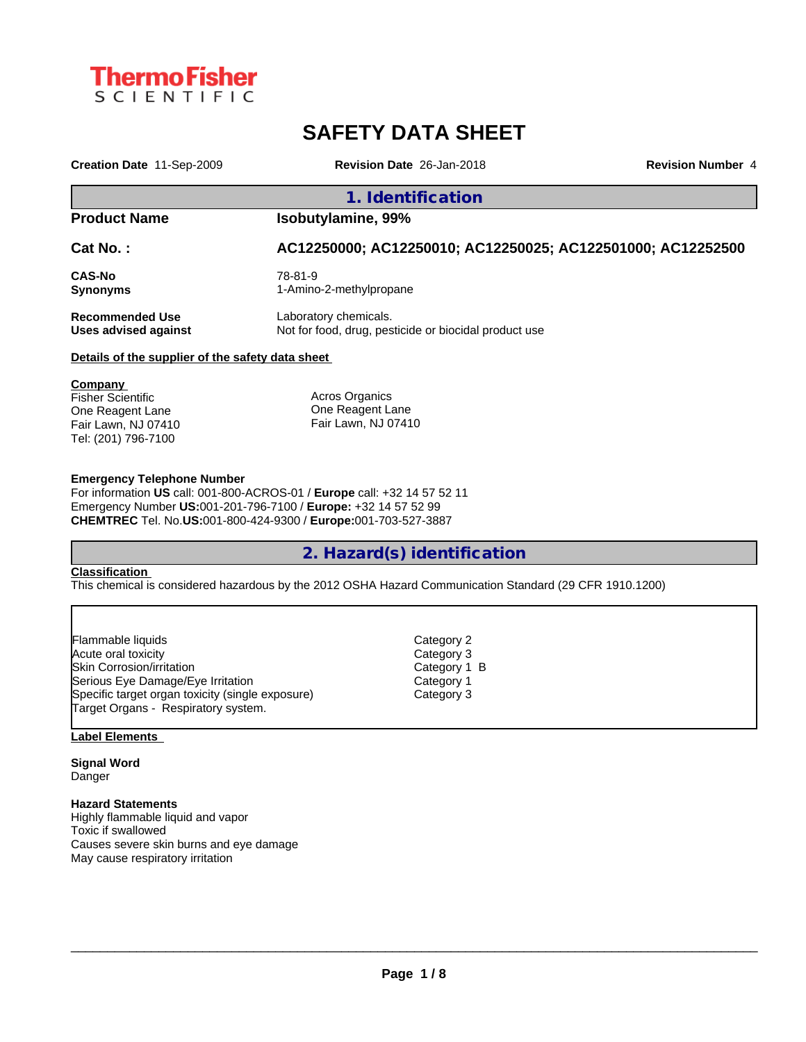

# **SAFETY DATA SHEET**

**Creation Date** 11-Sep-2009 **Revision Date** 26-Jan-2018 **Revision Number** 4

## **1. Identification**

## **Product Name Isobutylamine, 99%**

**Cat No. : AC12250000; AC12250010; AC12250025; AC122501000; AC12252500**

**CAS-No** 78-81-9 **Synonyms** 1-Amino-2-methylpropane

**Recommended Use** Laboratory chemicals.

**Uses advised against** Not for food, drug, pesticide or biocidal product use

#### **Details of the supplier of the safety data sheet**

**Company**  Fisher Scientific One Reagent Lane Fair Lawn, NJ 07410 Tel: (201) 796-7100

Acros Organics One Reagent Lane Fair Lawn, NJ 07410

#### **Emergency Telephone Number**

For information **US** call: 001-800-ACROS-01 / **Europe** call: +32 14 57 52 11 Emergency Number **US:**001-201-796-7100 / **Europe:** +32 14 57 52 99 **CHEMTREC** Tel. No.**US:**001-800-424-9300 / **Europe:**001-703-527-3887

## **2. Hazard(s) identification**

#### **Classification**

This chemical is considered hazardous by the 2012 OSHA Hazard Communication Standard (29 CFR 1910.1200)

| Flammable liquids                                | Category 2   |  |
|--------------------------------------------------|--------------|--|
| Acute oral toxicity                              | Category 3   |  |
| Skin Corrosion/irritation                        | Category 1 B |  |
| Serious Eye Damage/Eye Irritation                | Category 1   |  |
| Specific target organ toxicity (single exposure) | Category 3   |  |
| Target Organs - Respiratory system.              |              |  |

#### **Label Elements**

**Signal Word** Danger

### **Hazard Statements**

Highly flammable liquid and vapor Toxic if swallowed Causes severe skin burns and eye damage May cause respiratory irritation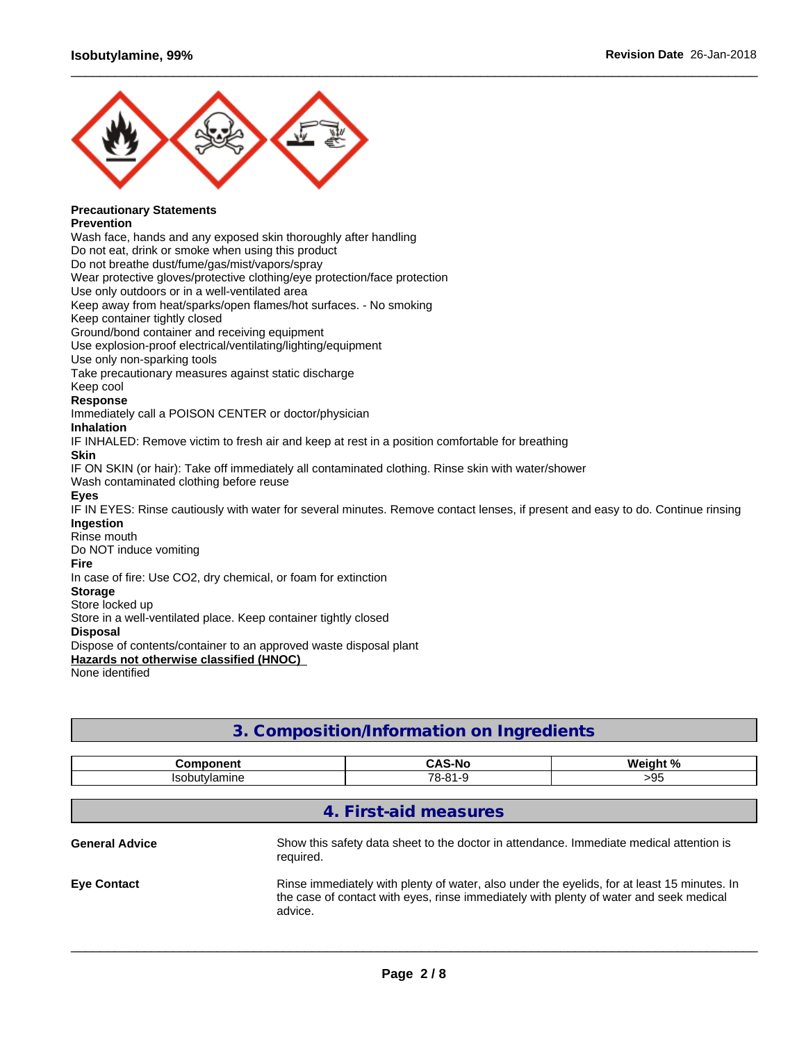

#### **Precautionary Statements Prevention**

Wash face, hands and any exposed skin thoroughly after handling

Do not eat, drink or smoke when using this product

Do not breathe dust/fume/gas/mist/vapors/spray

Wear protective gloves/protective clothing/eye protection/face protection

Use only outdoors or in a well-ventilated area

Keep away from heat/sparks/open flames/hot surfaces. - No smoking

Keep container tightly closed

Ground/bond container and receiving equipment

Use explosion-proof electrical/ventilating/lighting/equipment

Use only non-sparking tools

Take precautionary measures against static discharge

Keep cool

#### **Response**

Immediately call a POISON CENTER or doctor/physician

### **Inhalation**

IF INHALED: Remove victim to fresh air and keep at rest in a position comfortable for breathing

#### **Skin**

IF ON SKIN (or hair): Take off immediately all contaminated clothing. Rinse skin with water/shower

Wash contaminated clothing before reuse

#### **Eyes**

IF IN EYES: Rinse cautiously with water for several minutes. Remove contact lenses, if present and easy to do. Continue rinsing **Ingestion**

 $\_$  ,  $\_$  ,  $\_$  ,  $\_$  ,  $\_$  ,  $\_$  ,  $\_$  ,  $\_$  ,  $\_$  ,  $\_$  ,  $\_$  ,  $\_$  ,  $\_$  ,  $\_$  ,  $\_$  ,  $\_$  ,  $\_$  ,  $\_$  ,  $\_$  ,  $\_$  ,  $\_$  ,  $\_$  ,  $\_$  ,  $\_$  ,  $\_$  ,  $\_$  ,  $\_$  ,  $\_$  ,  $\_$  ,  $\_$  ,  $\_$  ,  $\_$  ,  $\_$  ,  $\_$  ,  $\_$  ,  $\_$  ,  $\_$  ,

### Rinse mouth

Do NOT induce vomiting

#### **Fire**

In case of fire: Use CO2, dry chemical, or foam for extinction

#### **Storage** Store locked up

Store in a well-ventilated place. Keep container tightly closed

#### **Disposal**

Dispose of contents/container to an approved waste disposal plant

**Hazards not otherwise classified (HNOC)**

None identified

## **3. Composition/Information on Ingredients**

| <b>Component</b>      |           | <b>CAS-No</b>         | Weight %                                                                                                                                                                              |
|-----------------------|-----------|-----------------------|---------------------------------------------------------------------------------------------------------------------------------------------------------------------------------------|
| <b>Isobutylamine</b>  |           | 78-81-9               | >95                                                                                                                                                                                   |
|                       |           |                       |                                                                                                                                                                                       |
|                       |           | 4. First-aid measures |                                                                                                                                                                                       |
| <b>General Advice</b> | required. |                       | Show this safety data sheet to the doctor in attendance. Immediate medical attention is                                                                                               |
| <b>Eye Contact</b>    | advice.   |                       | Rinse immediately with plenty of water, also under the eyelids, for at least 15 minutes. In<br>the case of contact with eyes, rinse immediately with plenty of water and seek medical |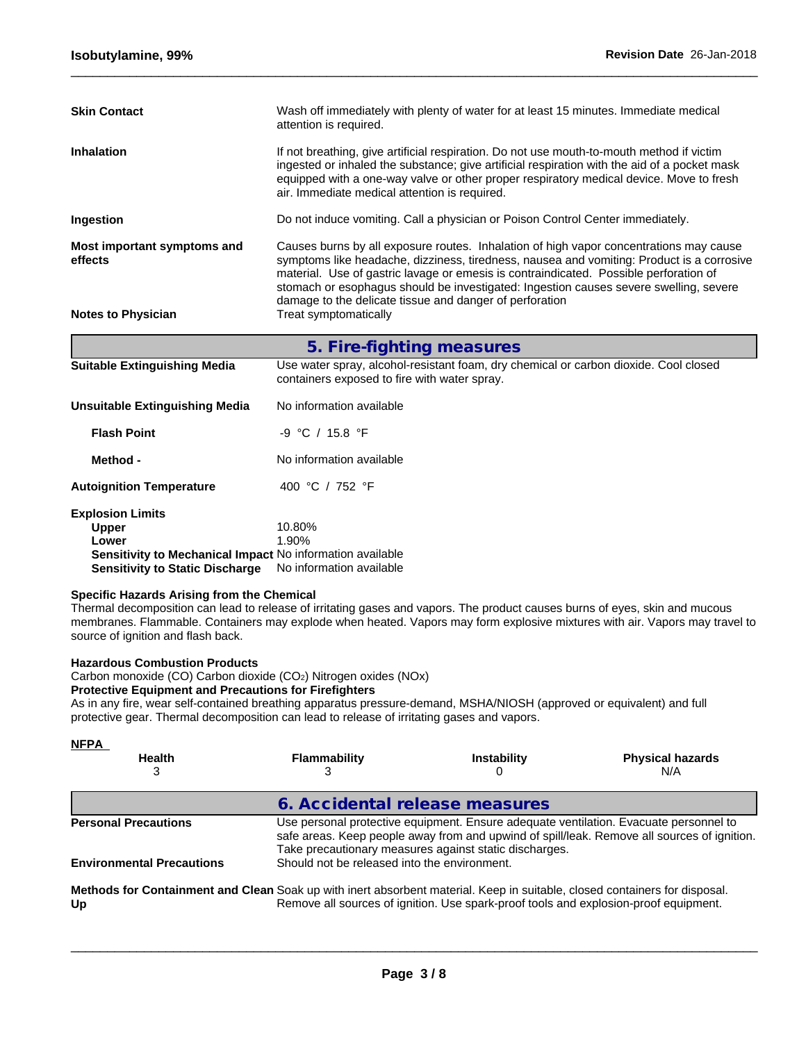| <b>Skin Contact</b>                                       | Wash off immediately with plenty of water for at least 15 minutes. Immediate medical<br>attention is required.                                                                                                                                                                                                                                                                                                                   |
|-----------------------------------------------------------|----------------------------------------------------------------------------------------------------------------------------------------------------------------------------------------------------------------------------------------------------------------------------------------------------------------------------------------------------------------------------------------------------------------------------------|
| <b>Inhalation</b>                                         | If not breathing, give artificial respiration. Do not use mouth-to-mouth method if victim<br>ingested or inhaled the substance; give artificial respiration with the aid of a pocket mask<br>equipped with a one-way valve or other proper respiratory medical device. Move to fresh<br>air. Immediate medical attention is required.                                                                                            |
| Ingestion                                                 | Do not induce vomiting. Call a physician or Poison Control Center immediately.                                                                                                                                                                                                                                                                                                                                                   |
| Most important symptoms and<br>effects                    | Causes burns by all exposure routes. Inhalation of high vapor concentrations may cause<br>symptoms like headache, dizziness, tiredness, nausea and vomiting: Product is a corrosive<br>material. Use of gastric lavage or emesis is contraindicated. Possible perforation of<br>stomach or esophagus should be investigated: Ingestion causes severe swelling, severe<br>damage to the delicate tissue and danger of perforation |
| <b>Notes to Physician</b>                                 | Treat symptomatically                                                                                                                                                                                                                                                                                                                                                                                                            |
|                                                           | 5. Fire-fighting measures                                                                                                                                                                                                                                                                                                                                                                                                        |
| <b>Suitable Extinguishing Media</b>                       | Use water spray, alcohol-resistant foam, dry chemical or carbon dioxide. Cool closed<br>containers exposed to fire with water spray.                                                                                                                                                                                                                                                                                             |
| Unsuitable Extinguishing Media                            | No information available                                                                                                                                                                                                                                                                                                                                                                                                         |
| <b>Flash Point</b>                                        | -9 °C / 15.8 °F                                                                                                                                                                                                                                                                                                                                                                                                                  |
| Method -                                                  | No information available                                                                                                                                                                                                                                                                                                                                                                                                         |
| <b>Autoignition Temperature</b>                           | 400 °C / 752 °F                                                                                                                                                                                                                                                                                                                                                                                                                  |
| <b>Explosion Limits</b><br><b>Upper</b><br>Lower          | 10.80%<br>1.90%                                                                                                                                                                                                                                                                                                                                                                                                                  |
| Sensitivity to Mechanical Impact No information available |                                                                                                                                                                                                                                                                                                                                                                                                                                  |

 $\_$  ,  $\_$  ,  $\_$  ,  $\_$  ,  $\_$  ,  $\_$  ,  $\_$  ,  $\_$  ,  $\_$  ,  $\_$  ,  $\_$  ,  $\_$  ,  $\_$  ,  $\_$  ,  $\_$  ,  $\_$  ,  $\_$  ,  $\_$  ,  $\_$  ,  $\_$  ,  $\_$  ,  $\_$  ,  $\_$  ,  $\_$  ,  $\_$  ,  $\_$  ,  $\_$  ,  $\_$  ,  $\_$  ,  $\_$  ,  $\_$  ,  $\_$  ,  $\_$  ,  $\_$  ,  $\_$  ,  $\_$  ,  $\_$  ,

**Sensitivity to Static Discharge** No information available

## **Specific Hazards Arising from the Chemical**

Thermal decomposition can lead to release of irritating gases and vapors. The product causes burns of eyes, skin and mucous membranes. Flammable. Containers may explode when heated. Vapors may form explosive mixtures with air. Vapors may travel to source of ignition and flash back.

#### **Hazardous Combustion Products**

Carbon monoxide (CO) Carbon dioxide (CO2) Nitrogen oxides (NOx)

#### **Protective Equipment and Precautions for Firefighters**

As in any fire, wear self-contained breathing apparatus pressure-demand, MSHA/NIOSH (approved or equivalent) and full protective gear. Thermal decomposition can lead to release of irritating gases and vapors.

| <b>NFPA</b>                                                                                                                      |                                              |                                                                                      |                                                                                                                                                                                      |
|----------------------------------------------------------------------------------------------------------------------------------|----------------------------------------------|--------------------------------------------------------------------------------------|--------------------------------------------------------------------------------------------------------------------------------------------------------------------------------------|
| <b>Health</b>                                                                                                                    | <b>Flammability</b>                          | <b>Instability</b>                                                                   | <b>Physical hazards</b><br>N/A                                                                                                                                                       |
|                                                                                                                                  | 6. Accidental release measures               |                                                                                      |                                                                                                                                                                                      |
| <b>Personal Precautions</b>                                                                                                      |                                              | Take precautionary measures against static discharges.                               | Use personal protective equipment. Ensure adequate ventilation. Evacuate personnel to<br>safe areas. Keep people away from and upwind of spill/leak. Remove all sources of ignition. |
| <b>Environmental Precautions</b>                                                                                                 | Should not be released into the environment. |                                                                                      |                                                                                                                                                                                      |
| Methods for Containment and Clean Soak up with inert absorbent material. Keep in suitable, closed containers for disposal.<br>Up |                                              | Remove all sources of ignition. Use spark-proof tools and explosion-proof equipment. |                                                                                                                                                                                      |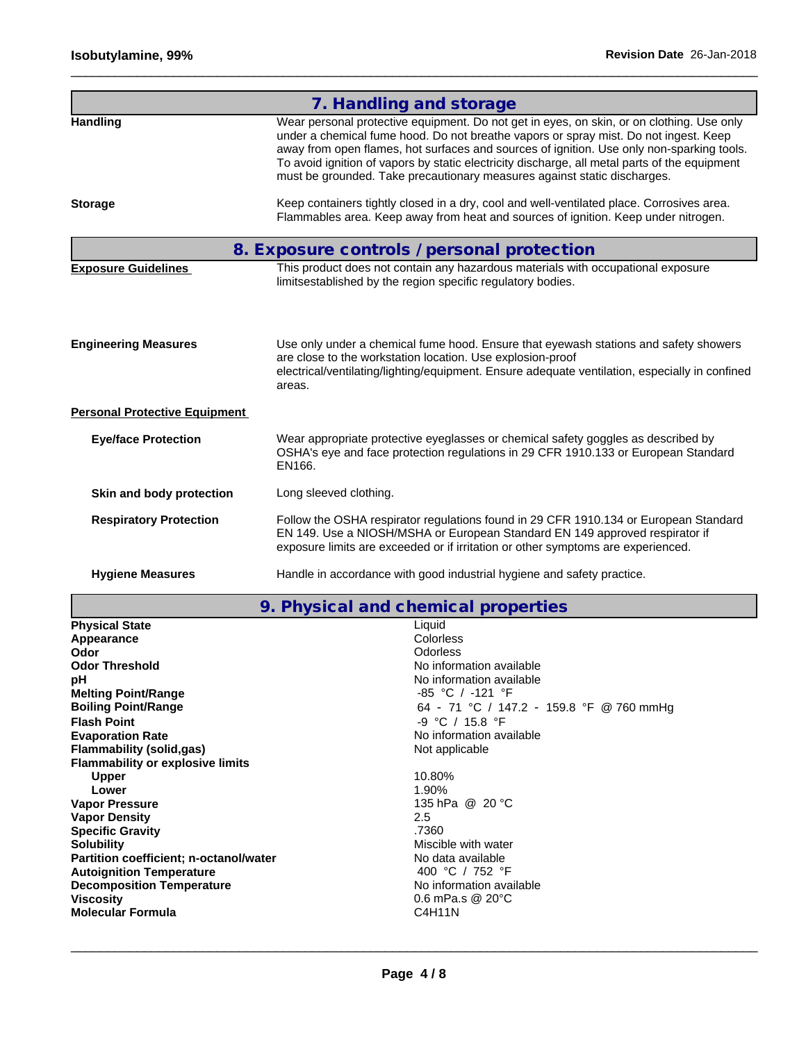|                                      | 7. Handling and storage                                                                                                                                                                                                                                                                                                                                                                                                                                     |
|--------------------------------------|-------------------------------------------------------------------------------------------------------------------------------------------------------------------------------------------------------------------------------------------------------------------------------------------------------------------------------------------------------------------------------------------------------------------------------------------------------------|
| <b>Handling</b>                      | Wear personal protective equipment. Do not get in eyes, on skin, or on clothing. Use only<br>under a chemical fume hood. Do not breathe vapors or spray mist. Do not ingest. Keep<br>away from open flames, hot surfaces and sources of ignition. Use only non-sparking tools.<br>To avoid ignition of vapors by static electricity discharge, all metal parts of the equipment<br>must be grounded. Take precautionary measures against static discharges. |
| <b>Storage</b>                       | Keep containers tightly closed in a dry, cool and well-ventilated place. Corrosives area.<br>Flammables area. Keep away from heat and sources of ignition. Keep under nitrogen.                                                                                                                                                                                                                                                                             |
|                                      | 8. Exposure controls / personal protection                                                                                                                                                                                                                                                                                                                                                                                                                  |
| <b>Exposure Guidelines</b>           | This product does not contain any hazardous materials with occupational exposure<br>limitsestablished by the region specific regulatory bodies.                                                                                                                                                                                                                                                                                                             |
| <b>Engineering Measures</b>          | Use only under a chemical fume hood. Ensure that eyewash stations and safety showers<br>are close to the workstation location. Use explosion-proof<br>electrical/ventilating/lighting/equipment. Ensure adequate ventilation, especially in confined<br>areas.                                                                                                                                                                                              |
| <b>Personal Protective Equipment</b> |                                                                                                                                                                                                                                                                                                                                                                                                                                                             |
| <b>Eye/face Protection</b>           | Wear appropriate protective eyeglasses or chemical safety goggles as described by<br>OSHA's eye and face protection regulations in 29 CFR 1910.133 or European Standard<br>EN166.                                                                                                                                                                                                                                                                           |
| Skin and body protection             | Long sleeved clothing.                                                                                                                                                                                                                                                                                                                                                                                                                                      |
| <b>Respiratory Protection</b>        | Follow the OSHA respirator regulations found in 29 CFR 1910.134 or European Standard<br>EN 149. Use a NIOSH/MSHA or European Standard EN 149 approved respirator if<br>exposure limits are exceeded or if irritation or other symptoms are experienced.                                                                                                                                                                                                     |
| <b>Hygiene Measures</b>              | Handle in accordance with good industrial hygiene and safety practice.                                                                                                                                                                                                                                                                                                                                                                                      |

 $\_$  ,  $\_$  ,  $\_$  ,  $\_$  ,  $\_$  ,  $\_$  ,  $\_$  ,  $\_$  ,  $\_$  ,  $\_$  ,  $\_$  ,  $\_$  ,  $\_$  ,  $\_$  ,  $\_$  ,  $\_$  ,  $\_$  ,  $\_$  ,  $\_$  ,  $\_$  ,  $\_$  ,  $\_$  ,  $\_$  ,  $\_$  ,  $\_$  ,  $\_$  ,  $\_$  ,  $\_$  ,  $\_$  ,  $\_$  ,  $\_$  ,  $\_$  ,  $\_$  ,  $\_$  ,  $\_$  ,  $\_$  ,  $\_$  ,

|  | 9. Physical and chemical properties |  |  |
|--|-------------------------------------|--|--|
|--|-------------------------------------|--|--|

| <b>Physical State</b>                   | Liquid                                   |
|-----------------------------------------|------------------------------------------|
| Appearance                              | <b>Colorless</b>                         |
| Odor                                    | Odorless                                 |
| <b>Odor Threshold</b>                   | No information available                 |
| рH                                      | No information available                 |
| <b>Melting Point/Range</b>              | -85 °C / -121 °F                         |
| <b>Boiling Point/Range</b>              | 64 - 71 °C / 147.2 - 159.8 °F @ 760 mmHg |
| <b>Flash Point</b>                      | -9 °C / 15.8 °F                          |
| <b>Evaporation Rate</b>                 | No information available                 |
| <b>Flammability (solid,gas)</b>         | Not applicable                           |
| <b>Flammability or explosive limits</b> |                                          |
| <b>Upper</b>                            | 10.80%                                   |
| Lower                                   | 1.90%                                    |
| <b>Vapor Pressure</b>                   | 135 hPa @ 20 °C                          |
| <b>Vapor Density</b>                    | $2.5^{\circ}$                            |
| <b>Specific Gravity</b>                 | .7360                                    |
| <b>Solubility</b>                       | Miscible with water                      |
| Partition coefficient; n-octanol/water  | No data available                        |
| <b>Autoignition Temperature</b>         | 400 °C / 752 °F                          |
| <b>Decomposition Temperature</b>        | No information available                 |
| Viscosity                               | 0.6 mPa.s $@$ 20 $°C$                    |
| <b>Molecular Formula</b>                | C4H11N                                   |
|                                         |                                          |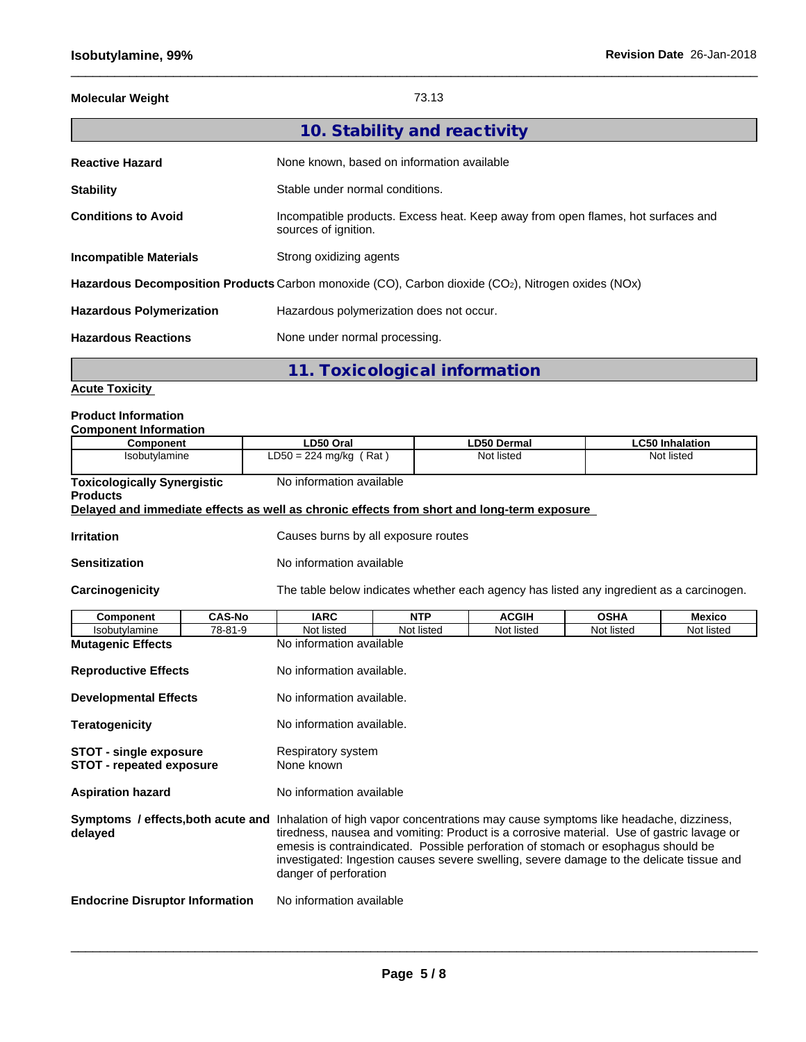## **Molecular Weight** 73.13

 $\_$  ,  $\_$  ,  $\_$  ,  $\_$  ,  $\_$  ,  $\_$  ,  $\_$  ,  $\_$  ,  $\_$  ,  $\_$  ,  $\_$  ,  $\_$  ,  $\_$  ,  $\_$  ,  $\_$  ,  $\_$  ,  $\_$  ,  $\_$  ,  $\_$  ,  $\_$  ,  $\_$  ,  $\_$  ,  $\_$  ,  $\_$  ,  $\_$  ,  $\_$  ,  $\_$  ,  $\_$  ,  $\_$  ,  $\_$  ,  $\_$  ,  $\_$  ,  $\_$  ,  $\_$  ,  $\_$  ,  $\_$  ,  $\_$  ,

|                                 | 10. Stability and reactivity                                                                                    |
|---------------------------------|-----------------------------------------------------------------------------------------------------------------|
| <b>Reactive Hazard</b>          | None known, based on information available                                                                      |
| <b>Stability</b>                | Stable under normal conditions.                                                                                 |
| <b>Conditions to Avoid</b>      | Incompatible products. Excess heat. Keep away from open flames, hot surfaces and<br>sources of ignition.        |
| <b>Incompatible Materials</b>   | Strong oxidizing agents                                                                                         |
|                                 | Hazardous Decomposition Products Carbon monoxide (CO), Carbon dioxide (CO <sub>2</sub> ), Nitrogen oxides (NOx) |
| <b>Hazardous Polymerization</b> | Hazardous polymerization does not occur.                                                                        |
| <b>Hazardous Reactions</b>      | None under normal processing.                                                                                   |
|                                 |                                                                                                                 |

**11. Toxicological information**

**Acute Toxicity**

## **Product Information**

| <b>Component Information</b>                                                                                                                                                                                                                                                                                                                                                                                                              |               |                                                                                            |            |                                                                                          |             |                        |
|-------------------------------------------------------------------------------------------------------------------------------------------------------------------------------------------------------------------------------------------------------------------------------------------------------------------------------------------------------------------------------------------------------------------------------------------|---------------|--------------------------------------------------------------------------------------------|------------|------------------------------------------------------------------------------------------|-------------|------------------------|
| Component                                                                                                                                                                                                                                                                                                                                                                                                                                 |               | LD50 Oral                                                                                  |            | <b>LD50 Dermal</b>                                                                       |             | <b>LC50 Inhalation</b> |
| Isobutylamine                                                                                                                                                                                                                                                                                                                                                                                                                             |               | $LD50 = 224$ mg/kg (Rat)                                                                   |            | Not listed                                                                               |             | Not listed             |
| <b>Toxicologically Synergistic</b><br><b>Products</b>                                                                                                                                                                                                                                                                                                                                                                                     |               | No information available                                                                   |            |                                                                                          |             |                        |
|                                                                                                                                                                                                                                                                                                                                                                                                                                           |               | Delayed and immediate effects as well as chronic effects from short and long-term exposure |            |                                                                                          |             |                        |
| <b>Irritation</b>                                                                                                                                                                                                                                                                                                                                                                                                                         |               | Causes burns by all exposure routes                                                        |            |                                                                                          |             |                        |
| <b>Sensitization</b>                                                                                                                                                                                                                                                                                                                                                                                                                      |               | No information available                                                                   |            |                                                                                          |             |                        |
| Carcinogenicity                                                                                                                                                                                                                                                                                                                                                                                                                           |               |                                                                                            |            | The table below indicates whether each agency has listed any ingredient as a carcinogen. |             |                        |
| <b>Component</b>                                                                                                                                                                                                                                                                                                                                                                                                                          | <b>CAS-No</b> | <b>IARC</b>                                                                                | <b>NTP</b> | <b>ACGIH</b>                                                                             | <b>OSHA</b> | <b>Mexico</b>          |
| Isobutylamine                                                                                                                                                                                                                                                                                                                                                                                                                             | 78-81-9       | Not listed                                                                                 | Not listed | Not listed                                                                               | Not listed  | Not listed             |
| <b>Mutagenic Effects</b>                                                                                                                                                                                                                                                                                                                                                                                                                  |               | No information available                                                                   |            |                                                                                          |             |                        |
| <b>Reproductive Effects</b>                                                                                                                                                                                                                                                                                                                                                                                                               |               | No information available.                                                                  |            |                                                                                          |             |                        |
| <b>Developmental Effects</b>                                                                                                                                                                                                                                                                                                                                                                                                              |               | No information available.                                                                  |            |                                                                                          |             |                        |
| <b>Teratogenicity</b>                                                                                                                                                                                                                                                                                                                                                                                                                     |               | No information available.                                                                  |            |                                                                                          |             |                        |
| <b>STOT - single exposure</b><br><b>STOT - repeated exposure</b>                                                                                                                                                                                                                                                                                                                                                                          |               | Respiratory system<br>None known                                                           |            |                                                                                          |             |                        |
| <b>Aspiration hazard</b>                                                                                                                                                                                                                                                                                                                                                                                                                  |               | No information available                                                                   |            |                                                                                          |             |                        |
| Symptoms / effects, both acute and Inhalation of high vapor concentrations may cause symptoms like headache, dizziness,<br>tiredness, nausea and vomiting: Product is a corrosive material. Use of gastric lavage or<br>delayed<br>emesis is contraindicated. Possible perforation of stomach or esophagus should be<br>investigated: Ingestion causes severe swelling, severe damage to the delicate tissue and<br>danger of perforation |               |                                                                                            |            |                                                                                          |             |                        |
| <b>Endocrine Disruptor Information</b>                                                                                                                                                                                                                                                                                                                                                                                                    |               | No information available                                                                   |            |                                                                                          |             |                        |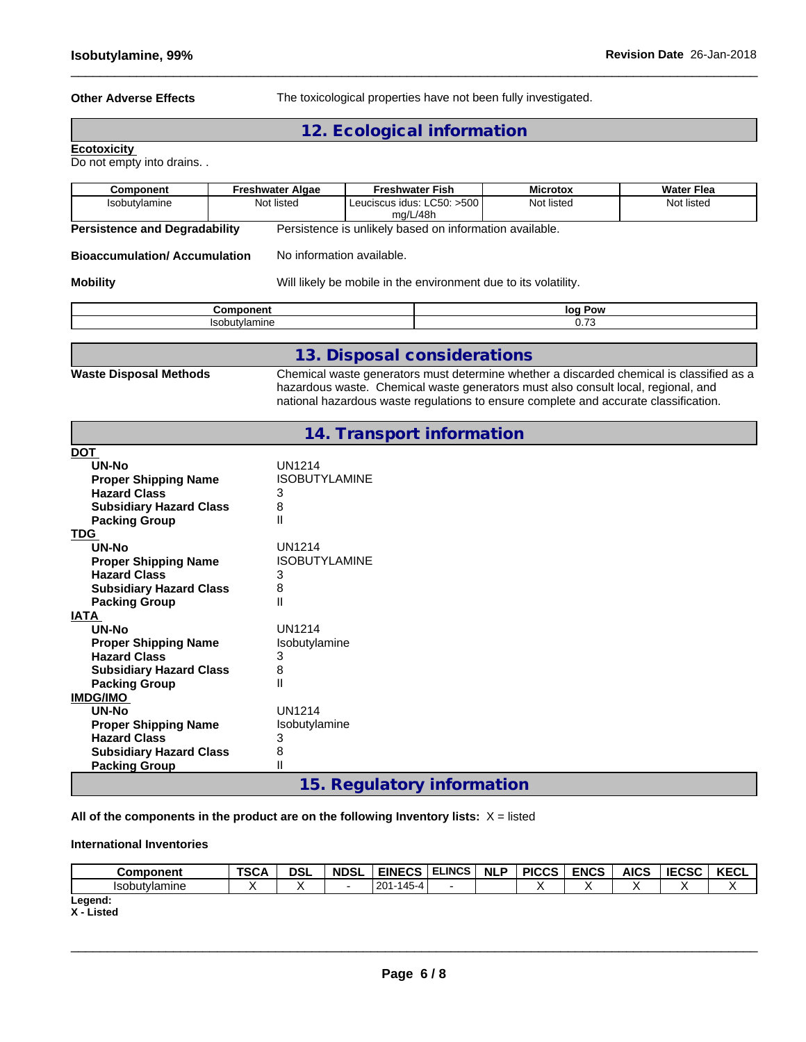**Other Adverse Effects** The toxicological properties have not been fully investigated.

 $\_$  ,  $\_$  ,  $\_$  ,  $\_$  ,  $\_$  ,  $\_$  ,  $\_$  ,  $\_$  ,  $\_$  ,  $\_$  ,  $\_$  ,  $\_$  ,  $\_$  ,  $\_$  ,  $\_$  ,  $\_$  ,  $\_$  ,  $\_$  ,  $\_$  ,  $\_$  ,  $\_$  ,  $\_$  ,  $\_$  ,  $\_$  ,  $\_$  ,  $\_$  ,  $\_$  ,  $\_$  ,  $\_$  ,  $\_$  ,  $\_$  ,  $\_$  ,  $\_$  ,  $\_$  ,  $\_$  ,  $\_$  ,  $\_$  ,

**12. Ecological information**

#### **Ecotoxicity**

Do not empty into drains. .

| <b>Component</b>                     | <b>Freshwater Algae</b>   | <b>Freshwater Fish</b>                                                                                                                                                        | <b>Microtox</b> | <b>Water Flea</b> |  |  |  |  |
|--------------------------------------|---------------------------|-------------------------------------------------------------------------------------------------------------------------------------------------------------------------------|-----------------|-------------------|--|--|--|--|
| Isobutylamine                        | Not listed                | Leuciscus idus: LC50: >500                                                                                                                                                    | Not listed      | Not listed        |  |  |  |  |
|                                      | mg/L/48h                  |                                                                                                                                                                               |                 |                   |  |  |  |  |
| <b>Persistence and Degradability</b> |                           | Persistence is unlikely based on information available.                                                                                                                       |                 |                   |  |  |  |  |
| <b>Bioaccumulation/Accumulation</b>  | No information available. |                                                                                                                                                                               |                 |                   |  |  |  |  |
| <b>Mobility</b>                      |                           | Will likely be mobile in the environment due to its volatility.                                                                                                               |                 |                   |  |  |  |  |
|                                      | <b>Component</b>          |                                                                                                                                                                               | log Pow         |                   |  |  |  |  |
|                                      | Isobutylamine             |                                                                                                                                                                               | 0.73            |                   |  |  |  |  |
|                                      |                           |                                                                                                                                                                               |                 |                   |  |  |  |  |
|                                      |                           | 13. Disposal considerations                                                                                                                                                   |                 |                   |  |  |  |  |
| <b>Waste Disposal Methods</b>        |                           | Chemical waste generators must determine whether a discarded chemical is classified as a<br>hazardous waste. Chemical waste generators must also consult local, regional, and |                 |                   |  |  |  |  |
|                                      |                           | national hazardous waste regulations to ensure complete and accurate classification.                                                                                          |                 |                   |  |  |  |  |
|                                      |                           | 14. Transport information                                                                                                                                                     |                 |                   |  |  |  |  |
| <b>DOT</b>                           |                           |                                                                                                                                                                               |                 |                   |  |  |  |  |
| UN-No                                | <b>UN1214</b>             |                                                                                                                                                                               |                 |                   |  |  |  |  |
| <b>Proper Shipping Name</b>          | <b>ISOBUTYLAMINE</b>      |                                                                                                                                                                               |                 |                   |  |  |  |  |
| <b>Hazard Class</b>                  | 3                         |                                                                                                                                                                               |                 |                   |  |  |  |  |
| <b>Subsidiary Hazard Class</b>       | 8                         |                                                                                                                                                                               |                 |                   |  |  |  |  |
| <b>Packing Group</b>                 | $\mathsf{II}$             |                                                                                                                                                                               |                 |                   |  |  |  |  |
| <b>TDG</b>                           |                           |                                                                                                                                                                               |                 |                   |  |  |  |  |
| UN-No                                | <b>UN1214</b>             |                                                                                                                                                                               |                 |                   |  |  |  |  |
| <b>Proper Shipping Name</b>          | <b>ISOBUTYLAMINE</b>      |                                                                                                                                                                               |                 |                   |  |  |  |  |
| <b>Hazard Class</b>                  | 3                         |                                                                                                                                                                               |                 |                   |  |  |  |  |
| <b>Subsidiary Hazard Class</b>       | 8                         |                                                                                                                                                                               |                 |                   |  |  |  |  |

|  |  | 15. Regulatory information |
|--|--|----------------------------|
|--|--|----------------------------|

**All of the components in the product are on the following Inventory lists:** X = listed

UN1214<br>Isobutylamine

#### **International Inventories**

**Proper Shipping Name** 

**Packing Group** 

**Packing Group** 

**Hazard Class** 3 **Subsidiary Hazard Class** 8

**Proper Shipping Name** Is<br> **Hazard Class** 3 **Hazard Class** 3<br> **Subsidiary Hazard Class** 8 **Subsidiary Hazard Class** 8<br>**Packing Group** 11

**Packing Group Group Access II** 

**UN-No**<br> **Proper Shipping Name** 
<br> **ISODUTY ISODUTY** Isobutylamine

| <b>Component</b>     | <b>TSCA</b> | <b>DSI</b> | <b>NDSL</b> | <b>EINECS</b>                        | <b>ELINCS</b> | <b>NLP</b> | <b>PICCS</b> | <b>ENCS</b> | <b>AICS</b> | <b>IECSC</b> | <b>VECI</b><br>NEVL |
|----------------------|-------------|------------|-------------|--------------------------------------|---------------|------------|--------------|-------------|-------------|--------------|---------------------|
| <b>Isobutvlamine</b> |             |            |             | 4AE<br>$201 -$<br>. .<br>I 4:<br>⊿-ר |               |            |              |             |             |              |                     |
| Legend:              |             |            |             |                                      |               |            |              |             |             |              |                     |

**X - Listed**

**IATA**<br>UN-No

**IMDG/IMO**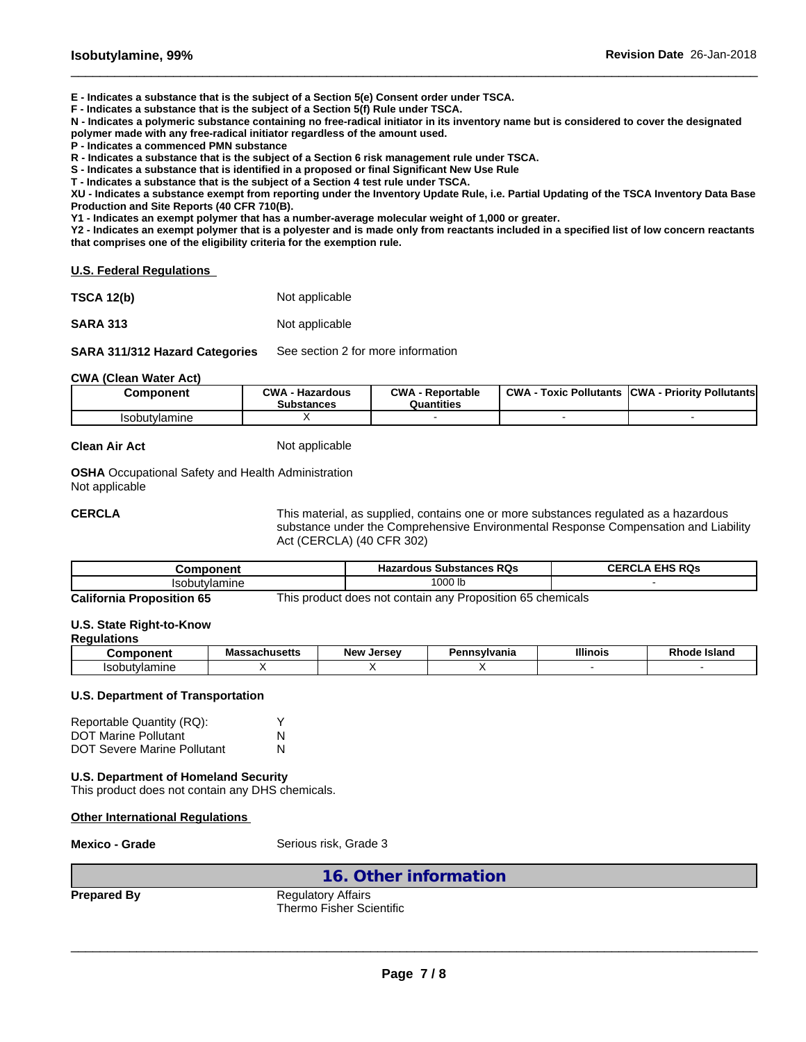**E - Indicates a substance that is the subject of a Section 5(e) Consent order under TSCA.**

**F - Indicates a substance that is the subject of a Section 5(f) Rule under TSCA.**

**N - Indicates a polymeric substance containing no free-radical initiator in its inventory name but is considered to cover the designated**

 $\_$  ,  $\_$  ,  $\_$  ,  $\_$  ,  $\_$  ,  $\_$  ,  $\_$  ,  $\_$  ,  $\_$  ,  $\_$  ,  $\_$  ,  $\_$  ,  $\_$  ,  $\_$  ,  $\_$  ,  $\_$  ,  $\_$  ,  $\_$  ,  $\_$  ,  $\_$  ,  $\_$  ,  $\_$  ,  $\_$  ,  $\_$  ,  $\_$  ,  $\_$  ,  $\_$  ,  $\_$  ,  $\_$  ,  $\_$  ,  $\_$  ,  $\_$  ,  $\_$  ,  $\_$  ,  $\_$  ,  $\_$  ,  $\_$  ,

**polymer made with any free-radical initiator regardless of the amount used.**

**P - Indicates a commenced PMN substance**

**R - Indicates a substance that is the subject of a Section 6 risk management rule under TSCA.**

**S - Indicates a substance that is identified in a proposed or final Significant New Use Rule**

**T - Indicates a substance that is the subject of a Section 4 test rule under TSCA.**

**XU - Indicates a substance exempt from reporting under the Inventory Update Rule, i.e. Partial Updating of the TSCA Inventory Data Base Production and Site Reports (40 CFR 710(B).**

**Y1 - Indicates an exempt polymer that has a number-average molecular weight of 1,000 or greater.**

**Y2 - Indicates an exempt polymer that is a polyester and is made only from reactants included in a specified list of low concern reactants that comprises one of the eligibility criteria for the exemption rule.**

**U.S. Federal Regulations**

| <b>TSCA 12(b)</b> | Not applicable |
|-------------------|----------------|
| <b>SARA 313</b>   | Not applicable |

**SARA 311/312 Hazard Categories** See section 2 for more information

#### **CWA** (Clean Water Act)

| Component            | CWA<br><b>Hazardous</b><br><b>Substances</b> | OMA<br>Reportable<br>Quantities | <b>CWA</b><br><b>Pollutants</b><br>™охіс | <b>CWA</b><br><b>Priority Pollutants</b> |
|----------------------|----------------------------------------------|---------------------------------|------------------------------------------|------------------------------------------|
| <b>Isobutvlamine</b> |                                              |                                 |                                          |                                          |

**Clean Air Act** Not applicable

**OSHA** Occupational Safety and Health Administration Not applicable

**CERCLA** This material, as supplied, contains one or more substances regulated as a hazardous substance under the Comprehensive Environmental Response Compensation and Liability Act (CERCLA) (40 CFR 302)

| .<br>⊸om                                               | DO-<br>zardous<br><b>Substances</b><br>rvs<br>пd. | FIBAD<br>۵۵۰.<br>--<br>__<br>$\sim$ $\sim$ |
|--------------------------------------------------------|---------------------------------------------------|--------------------------------------------|
| .<br>، ۱۹<br>anne                                      | '000 lb                                           |                                            |
| $\overline{\phantom{a}}$<br>- ---<br>$ -$<br>__<br>--- | $\sim$ $-$<br>$\overline{\phantom{0}}$<br>.       |                                            |

**California Proposition 65** This product does not contain any Proposition 65 chemicals

#### **U.S. State Right-to-Know**

#### **Regulations**

| $   -$<br>"                 | <b>Ahueatte</b><br>sacmusens<br>шаэ. | <b>New</b><br>Jersev | הכ<br>isvivania<br>- 600 - | <b>Illinois</b> | <b>Island</b><br>otote<br>ru |
|-----------------------------|--------------------------------------|----------------------|----------------------------|-----------------|------------------------------|
| 10c<br>$l$ $\alpha$ m<br>шњ |                                      |                      |                            |                 |                              |

### **U.S. Department of Transportation**

| Reportable Quantity (RQ):          |   |
|------------------------------------|---|
| <b>DOT Marine Pollutant</b>        | N |
| <b>DOT Severe Marine Pollutant</b> | N |

## **U.S. Department of Homeland Security**

This product does not contain any DHS chemicals.

#### **Other International Regulations**

**Mexico - Grade** Serious risk, Grade 3

## **16. Other information**

**Prepared By** Regulatory Affairs Thermo Fisher Scientific